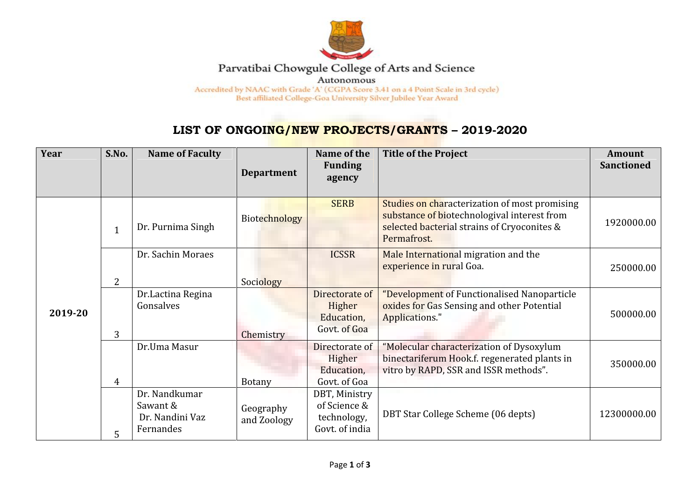

## Parvatibai Chowgule College of Arts and Science

Autonomous

Accredited by NAAC with Grade 'A' (CGPA Score 3.41 on a 4 Point Scale in 3rd cycle) Best affiliated College-Goa University Silver Jubilee Year Award

## **LIST OF ONGOING/NEW PROJECTS/GRANTS – 2019-2020**

| Year    | S.No.        | <b>Name of Faculty</b>                                    | <b>Department</b>        | Name of the<br><b>Funding</b><br>agency                        | <b>Title of the Project</b>                                                                                                                                | <b>Amount</b><br><b>Sanctioned</b> |
|---------|--------------|-----------------------------------------------------------|--------------------------|----------------------------------------------------------------|------------------------------------------------------------------------------------------------------------------------------------------------------------|------------------------------------|
| 2019-20 | $\mathbf{1}$ | Dr. Purnima Singh                                         | Biotechnology            | <b>SERB</b>                                                    | Studies on characterization of most promising<br>substance of biotechnologival interest from<br>selected bacterial strains of Cryoconites &<br>Permafrost. | 1920000.00                         |
|         | 2            | Dr. Sachin Moraes                                         | Sociology                | <b>ICSSR</b>                                                   | Male International migration and the<br>experience in rural Goa.                                                                                           | 250000.00                          |
|         | 3            | Dr.Lactina Regina<br>Gonsalves                            | Chemistry                | Directorate of<br>Higher<br>Education,<br>Govt. of Goa         | "Development of Functionalised Nanoparticle<br>oxides for Gas Sensing and other Potential<br>Applications."                                                | 500000.00                          |
|         | 4            | Dr.Uma Masur                                              | <b>Botany</b>            | Directorate of<br>Higher<br>Education,<br>Govt. of Goa         | "Molecular characterization of Dysoxylum<br>binectariferum Hook.f. regenerated plants in<br>vitro by RAPD, SSR and ISSR methods".                          | 350000.00                          |
|         | 5            | Dr. Nandkumar<br>Sawant &<br>Dr. Nandini Vaz<br>Fernandes | Geography<br>and Zoology | DBT, Ministry<br>of Science &<br>technology,<br>Govt. of india | DBT Star College Scheme (06 depts)                                                                                                                         | 12300000.00                        |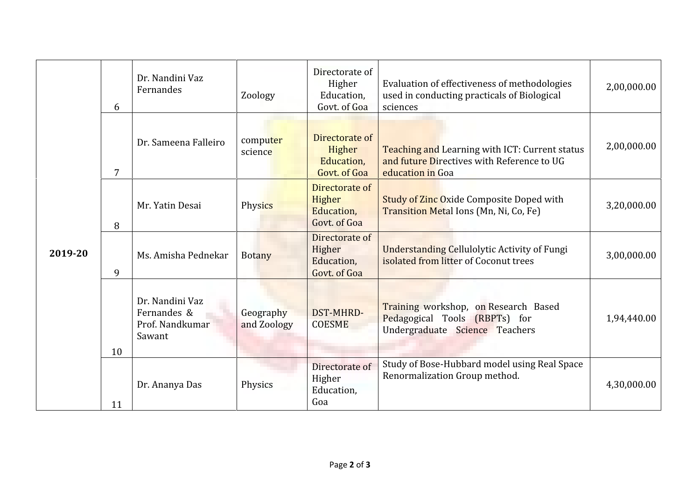| 2019-20 | Dr. Nandini Vaz<br>Fernandes<br>6                           | Zoology                  | Directorate of<br>Higher<br>Education,<br>Govt. of Goa | Evaluation of effectiveness of methodologies<br>used in conducting practicals of Biological<br>sciences          | 2,00,000.00 |
|---------|-------------------------------------------------------------|--------------------------|--------------------------------------------------------|------------------------------------------------------------------------------------------------------------------|-------------|
|         | Dr. Sameena Falleiro<br>7                                   | computer<br>science      | Directorate of<br>Higher<br>Education,<br>Govt. of Goa | Teaching and Learning with ICT: Current status<br>and future Directives with Reference to UG<br>education in Goa | 2,00,000.00 |
|         | Mr. Yatin Desai<br>8                                        | Physics                  | Directorate of<br>Higher<br>Education,<br>Govt. of Goa | <b>Study of Zinc Oxide Composite Doped with</b><br>Transition Metal Ions (Mn, Ni, Co, Fe)                        | 3,20,000.00 |
|         | Ms. Amisha Pednekar<br>9                                    | <b>Botany</b>            | Directorate of<br>Higher<br>Education,<br>Govt. of Goa | <b>Understanding Cellulolytic Activity of Fungi</b><br>isolated from litter of Coconut trees                     | 3,00,000.00 |
|         | Dr. Nandini Vaz<br>Fernandes &<br>Prof. Nandkumar<br>Sawant | Geography<br>and Zoology | DST-MHRD-<br><b>COESME</b>                             | Training workshop, on Research Based<br>Pedagogical Tools (RBPTs) for<br>Undergraduate Science Teachers          | 1,94,440.00 |
|         | 10                                                          |                          |                                                        |                                                                                                                  |             |
|         | Dr. Ananya Das<br>11                                        | Physics                  | Directorate of<br>Higher<br>Education,<br>Goa          | Study of Bose-Hubbard model using Real Space<br>Renormalization Group method.                                    | 4,30,000.00 |